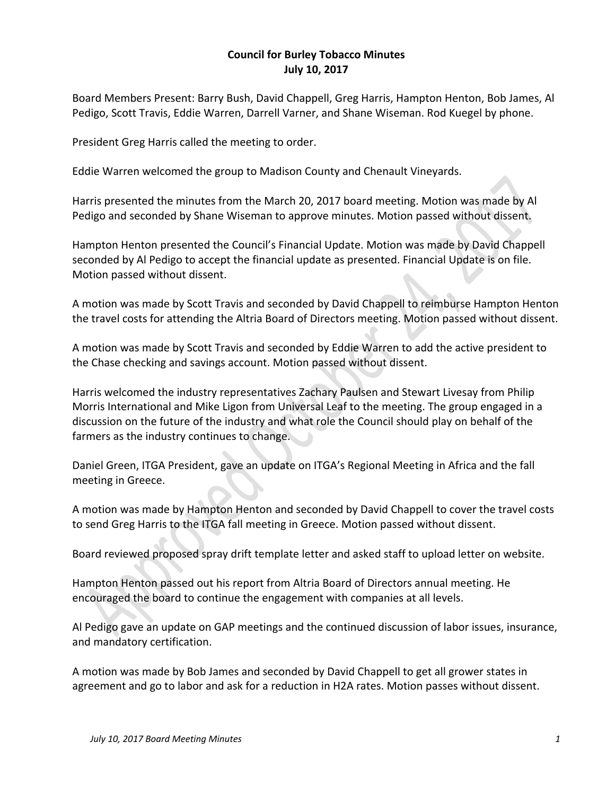## **Council for Burley Tobacco Minutes July 10, 2017**

Board Members Present: Barry Bush, David Chappell, Greg Harris, Hampton Henton, Bob James, Al Pedigo, Scott Travis, Eddie Warren, Darrell Varner, and Shane Wiseman. Rod Kuegel by phone.

President Greg Harris called the meeting to order.

Eddie Warren welcomed the group to Madison County and Chenault Vineyards.

Harris presented the minutes from the March 20, 2017 board meeting. Motion was made by Al Pedigo and seconded by Shane Wiseman to approve minutes. Motion passed without dissent.

Hampton Henton presented the Council's Financial Update. Motion was made by David Chappell seconded by Al Pedigo to accept the financial update as presented. Financial Update is on file. Motion passed without dissent.

A motion was made by Scott Travis and seconded by David Chappell to reimburse Hampton Henton the travel costs for attending the Altria Board of Directors meeting. Motion passed without dissent.

A motion was made by Scott Travis and seconded by Eddie Warren to add the active president to the Chase checking and savings account. Motion passed without dissent.

Harris welcomed the industry representatives Zachary Paulsen and Stewart Livesay from Philip Morris International and Mike Ligon from Universal Leaf to the meeting. The group engaged in a discussion on the future of the industry and what role the Council should play on behalf of the farmers as the industry continues to change.

Daniel Green, ITGA President, gave an update on ITGA's Regional Meeting in Africa and the fall meeting in Greece.

A motion was made by Hampton Henton and seconded by David Chappell to cover the travel costs to send Greg Harris to the ITGA fall meeting in Greece. Motion passed without dissent.

Board reviewed proposed spray drift template letter and asked staff to upload letter on website.

Hampton Henton passed out his report from Altria Board of Directors annual meeting. He encouraged the board to continue the engagement with companies at all levels.

Al Pedigo gave an update on GAP meetings and the continued discussion of labor issues, insurance, and mandatory certification.

A motion was made by Bob James and seconded by David Chappell to get all grower states in agreement and go to labor and ask for a reduction in H2A rates. Motion passes without dissent.

 $\mathbf{r}$  and  $\mathbf{r}$  and  $\mathbf{r}$  and  $\mathbf{r}$